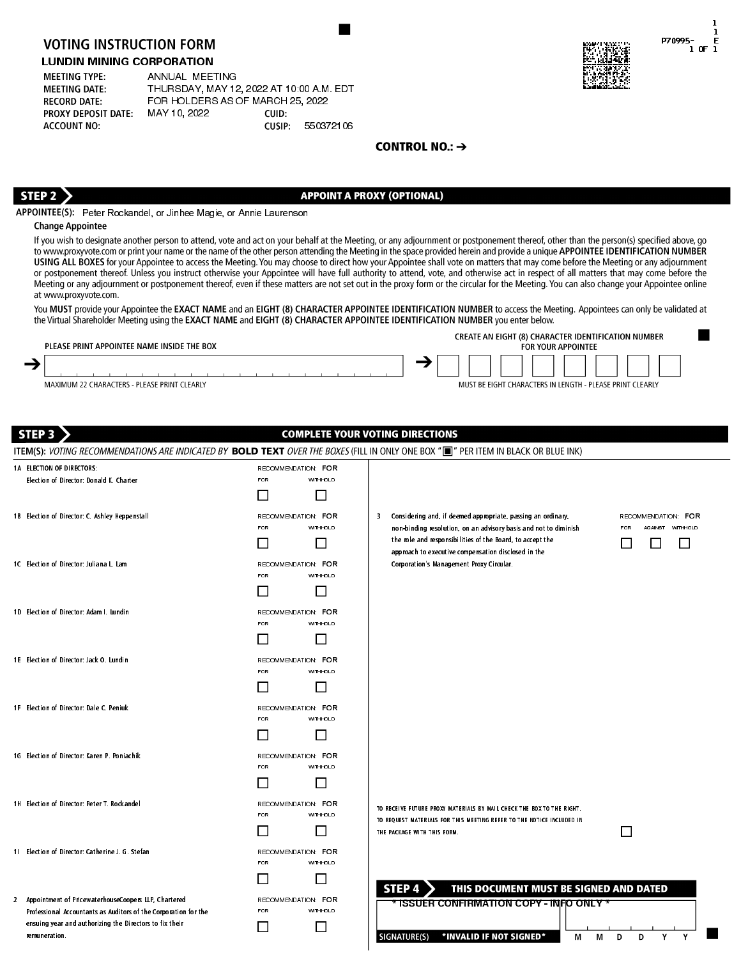# LUNDIN MINING CORPORATION

| <b>MEETING TYPE:</b>       | ANNUAL MEETING                         |        |           |
|----------------------------|----------------------------------------|--------|-----------|
| <b>MEETING DATE:</b>       | THURSDAY, MAY 12, 2022 AT 10 00 AM EDT |        |           |
| <b>RECORD DATE:</b>        | FOR HOLDERS AS OF MARCH 25, 2022       |        |           |
| <b>PROXY DEPOSIT DATE:</b> | MAY 10 2022                            | CUID:  |           |
| <b>ACCOUNT NO:</b>         |                                        | CUSIP: | 550372106 |



| PLEASE PRINT APPOINTEE NAME INSIDE THE BOX   | <b>CREATE AN EIGHT (8) CHARACTER IDENTIFICATION NUMBER</b><br><b>FOR YOUR APPOINTEE</b> |
|----------------------------------------------|-----------------------------------------------------------------------------------------|
|                                              |                                                                                         |
| MAXIMUM 22 CHARACTERS - PLEASE PRINT CLEARLY | MUST BE EIGHT CHARACTERS IN LENGTH - PLEASE PRINT CLEARLY                               |

| <b>VOTING INSTRUCTION FORM</b><br><b>LUNDIN MINING CORPORATION</b><br><b>MEETING TYPE:</b><br>ANNUAL MEETING<br><b>MEETING DATE:</b><br><b>RECORD DATE:</b>                          | THURSDAY, MAY 12, 2022 AT 10:00 A.M. EDT<br>FOR HOLDERS AS OF MARCH 25, 2022 |                                                                                                                                                                                                                                                                                                                                                                                                                                                                                                                                                                                                                                                                                                                                                                                                                                                                                                                                                 | P70995-<br>F<br>1 OF 1   |
|--------------------------------------------------------------------------------------------------------------------------------------------------------------------------------------|------------------------------------------------------------------------------|-------------------------------------------------------------------------------------------------------------------------------------------------------------------------------------------------------------------------------------------------------------------------------------------------------------------------------------------------------------------------------------------------------------------------------------------------------------------------------------------------------------------------------------------------------------------------------------------------------------------------------------------------------------------------------------------------------------------------------------------------------------------------------------------------------------------------------------------------------------------------------------------------------------------------------------------------|--------------------------|
| MAY 10, 2022<br><b>PROXY DEPOSIT DATE:</b><br><b>ACCOUNT NO:</b>                                                                                                                     | CUID:<br>CUSIP:<br>550372106                                                 |                                                                                                                                                                                                                                                                                                                                                                                                                                                                                                                                                                                                                                                                                                                                                                                                                                                                                                                                                 |                          |
|                                                                                                                                                                                      |                                                                              | CONTROL NO.: $\rightarrow$                                                                                                                                                                                                                                                                                                                                                                                                                                                                                                                                                                                                                                                                                                                                                                                                                                                                                                                      |                          |
|                                                                                                                                                                                      |                                                                              |                                                                                                                                                                                                                                                                                                                                                                                                                                                                                                                                                                                                                                                                                                                                                                                                                                                                                                                                                 |                          |
|                                                                                                                                                                                      |                                                                              |                                                                                                                                                                                                                                                                                                                                                                                                                                                                                                                                                                                                                                                                                                                                                                                                                                                                                                                                                 |                          |
| STEP <sub>2</sub><br>APPOINTEE(S): Peter Rockandel, or Jinhee Magie, or Annie Laurenson                                                                                              |                                                                              | <b>APPOINT A PROXY (OPTIONAL)</b>                                                                                                                                                                                                                                                                                                                                                                                                                                                                                                                                                                                                                                                                                                                                                                                                                                                                                                               |                          |
| <b>Change Appointee</b>                                                                                                                                                              |                                                                              |                                                                                                                                                                                                                                                                                                                                                                                                                                                                                                                                                                                                                                                                                                                                                                                                                                                                                                                                                 |                          |
| at www.proxyvote.com.                                                                                                                                                                |                                                                              | If you wish to designate another person to attend, vote and act on your behalf at the Meeting, or any adjournment or postponement thereof, other than the person(s) specified above, go<br>to www.proxyvote.com or print your name or the name of the other person attending the Meeting in the space provided herein and provide a unique APPOINTEE IDENTIFICATION NUMBER<br>USING ALL BOXES for your Appointee to access the Meeting. You may choose to direct how your Appointee shall vote on matters that may come before the Meeting or any adjournment<br>or postponement thereof. Unless you instruct otherwise your Appointee will have full authority to attend, vote, and otherwise act in respect of all matters that may come before the<br>Meeting or any adjournment or postponement thereof, even if these matters are not set out in the proxy form or the circular for the Meeting. You can also change your Appointee online |                          |
|                                                                                                                                                                                      |                                                                              | You MUST provide your Appointee the EXACT NAME and an EIGHT (8) CHARACTER APPOINTEE IDENTIFICATION NUMBER to access the Meeting. Appointees can only be validated at<br>the Virtual Shareholder Meeting using the EXACT NAME and EIGHT (8) CHARACTER APPOINTEE IDENTIFICATION NUMBER you enter below.                                                                                                                                                                                                                                                                                                                                                                                                                                                                                                                                                                                                                                           |                          |
| PLEASE PRINT APPOINTEE NAME INSIDE THE BOX                                                                                                                                           |                                                                              | CREATE AN EIGHT (8) CHARACTER IDENTIFICATION NUMBER<br><b>FOR YOUR APPOINTEE</b>                                                                                                                                                                                                                                                                                                                                                                                                                                                                                                                                                                                                                                                                                                                                                                                                                                                                |                          |
| →                                                                                                                                                                                    |                                                                              |                                                                                                                                                                                                                                                                                                                                                                                                                                                                                                                                                                                                                                                                                                                                                                                                                                                                                                                                                 |                          |
| MAXIMUM 22 CHARACTERS - PLEASE PRINT CLEARLY                                                                                                                                         |                                                                              | MUST BE EIGHT CHARACTERS IN LENGTH - PLEASE PRINT CLEARLY                                                                                                                                                                                                                                                                                                                                                                                                                                                                                                                                                                                                                                                                                                                                                                                                                                                                                       |                          |
| STEP <sub>3</sub>                                                                                                                                                                    |                                                                              | <b>COMPLETE YOUR VOTING DIRECTIONS</b>                                                                                                                                                                                                                                                                                                                                                                                                                                                                                                                                                                                                                                                                                                                                                                                                                                                                                                          |                          |
|                                                                                                                                                                                      |                                                                              |                                                                                                                                                                                                                                                                                                                                                                                                                                                                                                                                                                                                                                                                                                                                                                                                                                                                                                                                                 |                          |
|                                                                                                                                                                                      |                                                                              | ITEM(S): VOTING RECOMMENDATIONS ARE INDICATED BY BOLD TEXT OVER THE BOXES (FILL IN ONLY ONE BOX "I' PER ITEM IN BLACK OR BLUE INK)                                                                                                                                                                                                                                                                                                                                                                                                                                                                                                                                                                                                                                                                                                                                                                                                              |                          |
| 1A ELECTION OF DIRECTORS:                                                                                                                                                            | RECOMMENDATION: FOR                                                          |                                                                                                                                                                                                                                                                                                                                                                                                                                                                                                                                                                                                                                                                                                                                                                                                                                                                                                                                                 |                          |
| Election of Director: Donald K. Charter                                                                                                                                              | WITHHOLD<br><b>FOR</b><br>П<br>Ш                                             |                                                                                                                                                                                                                                                                                                                                                                                                                                                                                                                                                                                                                                                                                                                                                                                                                                                                                                                                                 |                          |
| 1B Election of Director: C. Ashley Heppenstall                                                                                                                                       | RECOMMENDATION: FOR                                                          | Considering and, if deemed appropriate, passing an ordinary,<br>3.                                                                                                                                                                                                                                                                                                                                                                                                                                                                                                                                                                                                                                                                                                                                                                                                                                                                              | RECOMMENDATION: FOR      |
|                                                                                                                                                                                      | <b>FOR</b><br>WITHHOLD                                                       | non-binding resolution, on an advisory basis and not to diminish                                                                                                                                                                                                                                                                                                                                                                                                                                                                                                                                                                                                                                                                                                                                                                                                                                                                                | AGAINST WITHHOLD<br>FOR. |
|                                                                                                                                                                                      |                                                                              | the role and responsibilities of the Board, to accept the<br>approach to executive compensation disclosed in the                                                                                                                                                                                                                                                                                                                                                                                                                                                                                                                                                                                                                                                                                                                                                                                                                                |                          |
| 1C Election of Director: Juliana L. Lam                                                                                                                                              | RECOMMENDATION: FOR<br><b>FOR</b><br>WITHHOLD                                | Corporation's Management Proxy Circular.                                                                                                                                                                                                                                                                                                                                                                                                                                                                                                                                                                                                                                                                                                                                                                                                                                                                                                        |                          |
|                                                                                                                                                                                      | ΓI<br>l l                                                                    |                                                                                                                                                                                                                                                                                                                                                                                                                                                                                                                                                                                                                                                                                                                                                                                                                                                                                                                                                 |                          |
| 1D Election of Director: Adam I. Lundin                                                                                                                                              | RECOMMENDATION: FOR                                                          |                                                                                                                                                                                                                                                                                                                                                                                                                                                                                                                                                                                                                                                                                                                                                                                                                                                                                                                                                 |                          |
|                                                                                                                                                                                      | <b>FOR</b><br>WITHHOLD<br>$\mathsf{L}$<br>H                                  |                                                                                                                                                                                                                                                                                                                                                                                                                                                                                                                                                                                                                                                                                                                                                                                                                                                                                                                                                 |                          |
| 1E Election of Director: Jack O. Lundin                                                                                                                                              | RECOMMENDATION: FOR                                                          |                                                                                                                                                                                                                                                                                                                                                                                                                                                                                                                                                                                                                                                                                                                                                                                                                                                                                                                                                 |                          |
|                                                                                                                                                                                      | FOR<br>WITHHOLD                                                              |                                                                                                                                                                                                                                                                                                                                                                                                                                                                                                                                                                                                                                                                                                                                                                                                                                                                                                                                                 |                          |
|                                                                                                                                                                                      | Н                                                                            |                                                                                                                                                                                                                                                                                                                                                                                                                                                                                                                                                                                                                                                                                                                                                                                                                                                                                                                                                 |                          |
| 1F Election of Director: Dale C. Peniuk                                                                                                                                              | RECOMMENDATION: FOR<br>WITHHOLD<br><b>FOR</b>                                |                                                                                                                                                                                                                                                                                                                                                                                                                                                                                                                                                                                                                                                                                                                                                                                                                                                                                                                                                 |                          |
|                                                                                                                                                                                      | П<br>Ш                                                                       |                                                                                                                                                                                                                                                                                                                                                                                                                                                                                                                                                                                                                                                                                                                                                                                                                                                                                                                                                 |                          |
| 1G Election of Director: Karen P. Poniachik                                                                                                                                          | RECOMMENDATION: FOR                                                          |                                                                                                                                                                                                                                                                                                                                                                                                                                                                                                                                                                                                                                                                                                                                                                                                                                                                                                                                                 |                          |
|                                                                                                                                                                                      | FOR<br>WITHHOLD                                                              |                                                                                                                                                                                                                                                                                                                                                                                                                                                                                                                                                                                                                                                                                                                                                                                                                                                                                                                                                 |                          |
|                                                                                                                                                                                      | $\mathsf{L}$                                                                 |                                                                                                                                                                                                                                                                                                                                                                                                                                                                                                                                                                                                                                                                                                                                                                                                                                                                                                                                                 |                          |
| 1H Election of Director: Peter T. Rockan del                                                                                                                                         | RECOMMENDATION: FOR<br>FOR<br>WITHHOLD                                       | TO RECEIVE FUTURE PROXY MATERIALS BY MAIL CHECK THE BOX TO THE RIGHT.                                                                                                                                                                                                                                                                                                                                                                                                                                                                                                                                                                                                                                                                                                                                                                                                                                                                           |                          |
|                                                                                                                                                                                      | H                                                                            | TO REQUEST MATERIALS FOR THIS MEETING REFER TO THE NOTICE INCLUDED IN<br>THE PACKAGE WITH THIS FORM.                                                                                                                                                                                                                                                                                                                                                                                                                                                                                                                                                                                                                                                                                                                                                                                                                                            | $\Box$                   |
| 11 Election of Director: Catherine J. G. Stefan                                                                                                                                      | RECOMMENDATION: FOR                                                          |                                                                                                                                                                                                                                                                                                                                                                                                                                                                                                                                                                                                                                                                                                                                                                                                                                                                                                                                                 |                          |
|                                                                                                                                                                                      | WITHHOLD<br><b>FOR</b>                                                       |                                                                                                                                                                                                                                                                                                                                                                                                                                                                                                                                                                                                                                                                                                                                                                                                                                                                                                                                                 |                          |
|                                                                                                                                                                                      | l 1<br>H                                                                     | THIS DOCUMENT MUST BE SIGNED AND DATED<br>STEP <sub>4</sub>                                                                                                                                                                                                                                                                                                                                                                                                                                                                                                                                                                                                                                                                                                                                                                                                                                                                                     |                          |
| 2 Appointment of PricewaterhouseCoopers LLP, Chartered<br>Professional Accountants as Auditors of the Corporation for the<br>ensuing year and authorizing the Directors to fix their | RECOMMENDATION: FOR<br>WITHHOLD<br><b>FOR</b>                                | * ISSUER CONFIRMATION COPY INFO ONLY *                                                                                                                                                                                                                                                                                                                                                                                                                                                                                                                                                                                                                                                                                                                                                                                                                                                                                                          |                          |